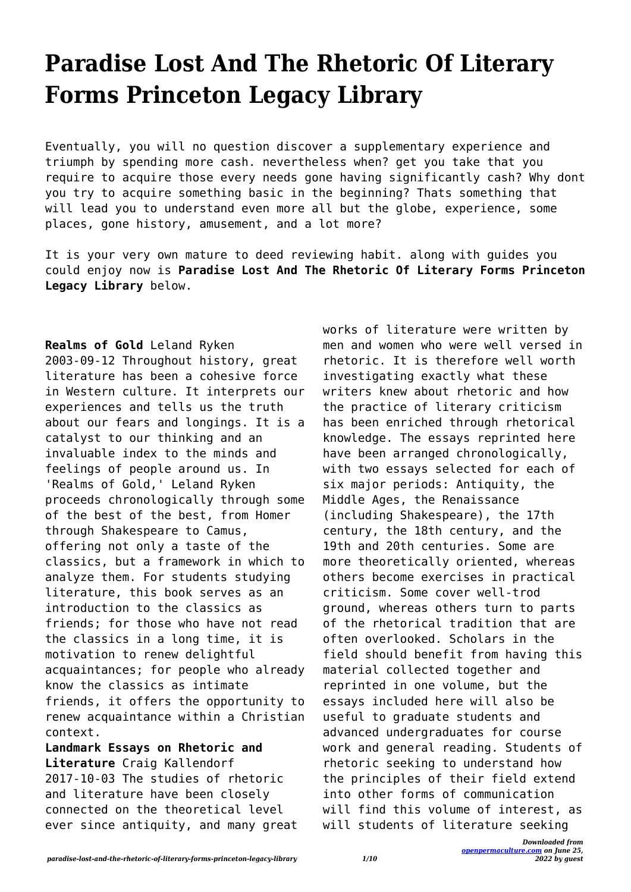## **Paradise Lost And The Rhetoric Of Literary Forms Princeton Legacy Library**

Eventually, you will no question discover a supplementary experience and triumph by spending more cash. nevertheless when? get you take that you require to acquire those every needs gone having significantly cash? Why dont you try to acquire something basic in the beginning? Thats something that will lead you to understand even more all but the globe, experience, some places, gone history, amusement, and a lot more?

It is your very own mature to deed reviewing habit. along with guides you could enjoy now is **Paradise Lost And The Rhetoric Of Literary Forms Princeton Legacy Library** below.

## **Realms of Gold** Leland Ryken

2003-09-12 Throughout history, great literature has been a cohesive force in Western culture. It interprets our experiences and tells us the truth about our fears and longings. It is a catalyst to our thinking and an invaluable index to the minds and feelings of people around us. In 'Realms of Gold,' Leland Ryken proceeds chronologically through some of the best of the best, from Homer through Shakespeare to Camus, offering not only a taste of the classics, but a framework in which to analyze them. For students studying literature, this book serves as an introduction to the classics as friends; for those who have not read the classics in a long time, it is motivation to renew delightful acquaintances; for people who already know the classics as intimate friends, it offers the opportunity to renew acquaintance within a Christian context.

**Landmark Essays on Rhetoric and Literature** Craig Kallendorf 2017-10-03 The studies of rhetoric and literature have been closely connected on the theoretical level ever since antiquity, and many great works of literature were written by men and women who were well versed in rhetoric. It is therefore well worth investigating exactly what these writers knew about rhetoric and how the practice of literary criticism has been enriched through rhetorical knowledge. The essays reprinted here have been arranged chronologically, with two essays selected for each of six major periods: Antiquity, the Middle Ages, the Renaissance (including Shakespeare), the 17th century, the 18th century, and the 19th and 20th centuries. Some are more theoretically oriented, whereas others become exercises in practical criticism. Some cover well-trod ground, whereas others turn to parts of the rhetorical tradition that are often overlooked. Scholars in the field should benefit from having this material collected together and reprinted in one volume, but the essays included here will also be useful to graduate students and advanced undergraduates for course work and general reading. Students of rhetoric seeking to understand how the principles of their field extend into other forms of communication will find this volume of interest, as will students of literature seeking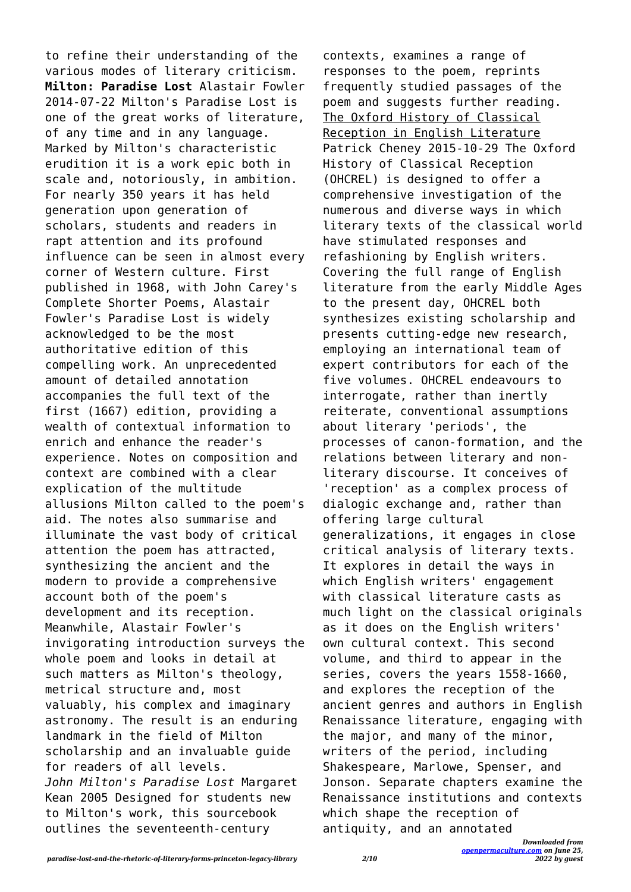to refine their understanding of the various modes of literary criticism. **Milton: Paradise Lost** Alastair Fowler 2014-07-22 Milton's Paradise Lost is one of the great works of literature, of any time and in any language. Marked by Milton's characteristic erudition it is a work epic both in scale and, notoriously, in ambition. For nearly 350 years it has held generation upon generation of scholars, students and readers in rapt attention and its profound influence can be seen in almost every corner of Western culture. First published in 1968, with John Carey's Complete Shorter Poems, Alastair Fowler's Paradise Lost is widely acknowledged to be the most authoritative edition of this compelling work. An unprecedented amount of detailed annotation accompanies the full text of the first (1667) edition, providing a wealth of contextual information to enrich and enhance the reader's experience. Notes on composition and context are combined with a clear explication of the multitude allusions Milton called to the poem's aid. The notes also summarise and illuminate the vast body of critical attention the poem has attracted, synthesizing the ancient and the modern to provide a comprehensive account both of the poem's development and its reception. Meanwhile, Alastair Fowler's invigorating introduction surveys the whole poem and looks in detail at such matters as Milton's theology, metrical structure and, most valuably, his complex and imaginary astronomy. The result is an enduring landmark in the field of Milton scholarship and an invaluable guide for readers of all levels. *John Milton's Paradise Lost* Margaret Kean 2005 Designed for students new to Milton's work, this sourcebook outlines the seventeenth-century

contexts, examines a range of responses to the poem, reprints frequently studied passages of the poem and suggests further reading. The Oxford History of Classical Reception in English Literature Patrick Cheney 2015-10-29 The Oxford History of Classical Reception (OHCREL) is designed to offer a comprehensive investigation of the numerous and diverse ways in which literary texts of the classical world have stimulated responses and refashioning by English writers. Covering the full range of English literature from the early Middle Ages to the present day, OHCREL both synthesizes existing scholarship and presents cutting-edge new research, employing an international team of expert contributors for each of the five volumes. OHCREL endeavours to interrogate, rather than inertly reiterate, conventional assumptions about literary 'periods', the processes of canon-formation, and the relations between literary and nonliterary discourse. It conceives of 'reception' as a complex process of dialogic exchange and, rather than offering large cultural generalizations, it engages in close critical analysis of literary texts. It explores in detail the ways in which English writers' engagement with classical literature casts as much light on the classical originals as it does on the English writers' own cultural context. This second volume, and third to appear in the series, covers the years 1558-1660, and explores the reception of the ancient genres and authors in English Renaissance literature, engaging with the major, and many of the minor, writers of the period, including Shakespeare, Marlowe, Spenser, and Jonson. Separate chapters examine the Renaissance institutions and contexts which shape the reception of antiquity, and an annotated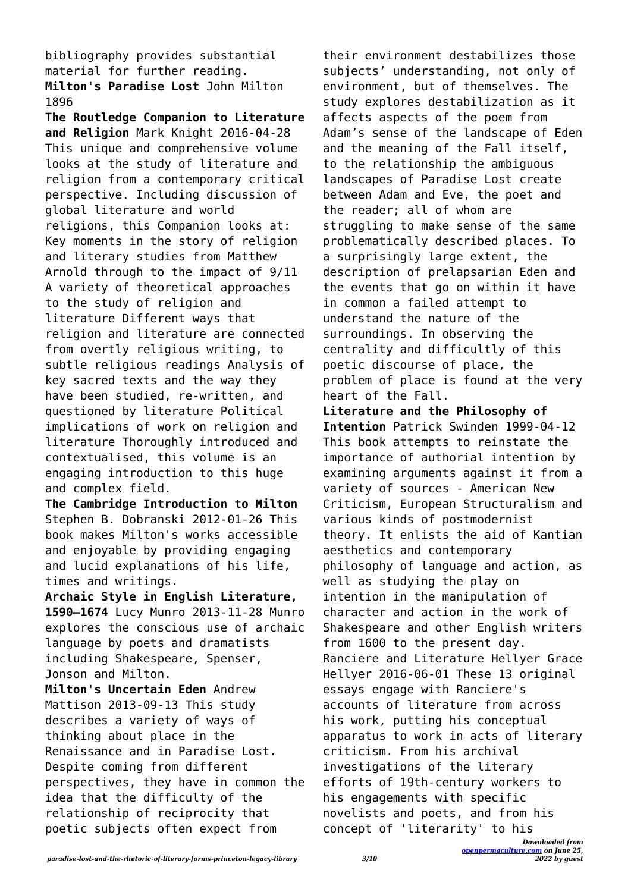bibliography provides substantial material for further reading. **Milton's Paradise Lost** John Milton 1896

**The Routledge Companion to Literature and Religion** Mark Knight 2016-04-28 This unique and comprehensive volume looks at the study of literature and religion from a contemporary critical perspective. Including discussion of global literature and world religions, this Companion looks at: Key moments in the story of religion and literary studies from Matthew Arnold through to the impact of 9/11 A variety of theoretical approaches to the study of religion and literature Different ways that religion and literature are connected from overtly religious writing, to subtle religious readings Analysis of key sacred texts and the way they have been studied, re-written, and questioned by literature Political implications of work on religion and literature Thoroughly introduced and contextualised, this volume is an engaging introduction to this huge and complex field.

**The Cambridge Introduction to Milton** Stephen B. Dobranski 2012-01-26 This book makes Milton's works accessible and enjoyable by providing engaging and lucid explanations of his life, times and writings.

**Archaic Style in English Literature, 1590–1674** Lucy Munro 2013-11-28 Munro explores the conscious use of archaic language by poets and dramatists including Shakespeare, Spenser, Jonson and Milton.

**Milton's Uncertain Eden** Andrew Mattison 2013-09-13 This study describes a variety of ways of thinking about place in the Renaissance and in Paradise Lost. Despite coming from different perspectives, they have in common the idea that the difficulty of the relationship of reciprocity that poetic subjects often expect from

their environment destabilizes those subjects' understanding, not only of environment, but of themselves. The study explores destabilization as it affects aspects of the poem from Adam's sense of the landscape of Eden and the meaning of the Fall itself, to the relationship the ambiguous landscapes of Paradise Lost create between Adam and Eve, the poet and the reader; all of whom are struggling to make sense of the same problematically described places. To a surprisingly large extent, the description of prelapsarian Eden and the events that go on within it have in common a failed attempt to understand the nature of the surroundings. In observing the centrality and difficultly of this poetic discourse of place, the problem of place is found at the very heart of the Fall. **Literature and the Philosophy of Intention** Patrick Swinden 1999-04-12 This book attempts to reinstate the importance of authorial intention by examining arguments against it from a variety of sources - American New Criticism, European Structuralism and various kinds of postmodernist theory. It enlists the aid of Kantian aesthetics and contemporary

philosophy of language and action, as well as studying the play on intention in the manipulation of character and action in the work of Shakespeare and other English writers from 1600 to the present day. Ranciere and Literature Hellyer Grace Hellyer 2016-06-01 These 13 original essays engage with Ranciere's accounts of literature from across his work, putting his conceptual apparatus to work in acts of literary criticism. From his archival investigations of the literary efforts of 19th-century workers to his engagements with specific novelists and poets, and from his concept of 'literarity' to his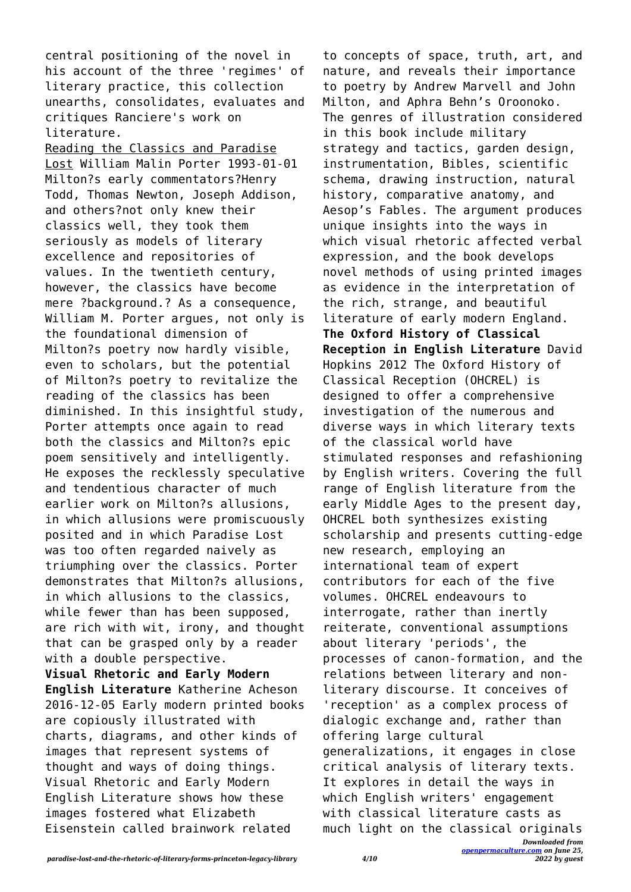central positioning of the novel in his account of the three 'regimes' of literary practice, this collection unearths, consolidates, evaluates and critiques Ranciere's work on literature.

Reading the Classics and Paradise Lost William Malin Porter 1993-01-01 Milton?s early commentators?Henry Todd, Thomas Newton, Joseph Addison, and others?not only knew their classics well, they took them seriously as models of literary excellence and repositories of values. In the twentieth century, however, the classics have become mere ?background.? As a consequence, William M. Porter argues, not only is the foundational dimension of Milton?s poetry now hardly visible, even to scholars, but the potential of Milton?s poetry to revitalize the reading of the classics has been diminished. In this insightful study, Porter attempts once again to read both the classics and Milton?s epic poem sensitively and intelligently. He exposes the recklessly speculative and tendentious character of much earlier work on Milton?s allusions, in which allusions were promiscuously posited and in which Paradise Lost was too often regarded naively as triumphing over the classics. Porter demonstrates that Milton?s allusions, in which allusions to the classics, while fewer than has been supposed, are rich with wit, irony, and thought that can be grasped only by a reader with a double perspective. **Visual Rhetoric and Early Modern English Literature** Katherine Acheson 2016-12-05 Early modern printed books are copiously illustrated with charts, diagrams, and other kinds of images that represent systems of thought and ways of doing things. Visual Rhetoric and Early Modern English Literature shows how these

to concepts of space, truth, art, and nature, and reveals their importance to poetry by Andrew Marvell and John Milton, and Aphra Behn's Oroonoko. The genres of illustration considered in this book include military strategy and tactics, garden design, instrumentation, Bibles, scientific schema, drawing instruction, natural history, comparative anatomy, and Aesop's Fables. The argument produces unique insights into the ways in which visual rhetoric affected verbal expression, and the book develops novel methods of using printed images as evidence in the interpretation of the rich, strange, and beautiful literature of early modern England. **The Oxford History of Classical Reception in English Literature** David Hopkins 2012 The Oxford History of Classical Reception (OHCREL) is designed to offer a comprehensive investigation of the numerous and diverse ways in which literary texts of the classical world have stimulated responses and refashioning by English writers. Covering the full range of English literature from the early Middle Ages to the present day, OHCREL both synthesizes existing scholarship and presents cutting-edge new research, employing an international team of expert contributors for each of the five volumes. OHCREL endeavours to interrogate, rather than inertly reiterate, conventional assumptions about literary 'periods', the processes of canon-formation, and the relations between literary and nonliterary discourse. It conceives of 'reception' as a complex process of dialogic exchange and, rather than offering large cultural generalizations, it engages in close critical analysis of literary texts. It explores in detail the ways in which English writers' engagement with classical literature casts as much light on the classical originals

Eisenstein called brainwork related

images fostered what Elizabeth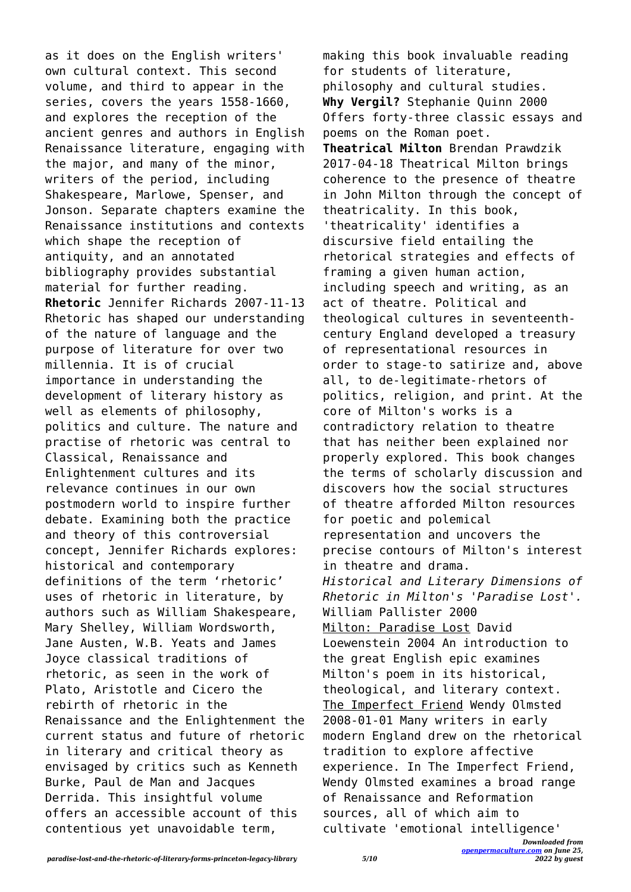as it does on the English writers' own cultural context. This second volume, and third to appear in the series, covers the years 1558-1660, and explores the reception of the ancient genres and authors in English Renaissance literature, engaging with the major, and many of the minor, writers of the period, including Shakespeare, Marlowe, Spenser, and Jonson. Separate chapters examine the Renaissance institutions and contexts which shape the reception of antiquity, and an annotated bibliography provides substantial material for further reading. **Rhetoric** Jennifer Richards 2007-11-13 Rhetoric has shaped our understanding of the nature of language and the purpose of literature for over two millennia. It is of crucial importance in understanding the development of literary history as well as elements of philosophy, politics and culture. The nature and practise of rhetoric was central to Classical, Renaissance and Enlightenment cultures and its relevance continues in our own postmodern world to inspire further debate. Examining both the practice and theory of this controversial concept, Jennifer Richards explores: historical and contemporary definitions of the term 'rhetoric' uses of rhetoric in literature, by authors such as William Shakespeare, Mary Shelley, William Wordsworth, Jane Austen, W.B. Yeats and James Joyce classical traditions of rhetoric, as seen in the work of Plato, Aristotle and Cicero the rebirth of rhetoric in the Renaissance and the Enlightenment the current status and future of rhetoric in literary and critical theory as envisaged by critics such as Kenneth Burke, Paul de Man and Jacques Derrida. This insightful volume offers an accessible account of this contentious yet unavoidable term,

making this book invaluable reading for students of literature, philosophy and cultural studies. **Why Vergil?** Stephanie Quinn 2000 Offers forty-three classic essays and poems on the Roman poet. **Theatrical Milton** Brendan Prawdzik 2017-04-18 Theatrical Milton brings coherence to the presence of theatre in John Milton through the concept of theatricality. In this book, 'theatricality' identifies a discursive field entailing the rhetorical strategies and effects of framing a given human action, including speech and writing, as an act of theatre. Political and theological cultures in seventeenthcentury England developed a treasury of representational resources in order to stage-to satirize and, above all, to de-legitimate-rhetors of politics, religion, and print. At the core of Milton's works is a contradictory relation to theatre that has neither been explained nor properly explored. This book changes the terms of scholarly discussion and discovers how the social structures of theatre afforded Milton resources for poetic and polemical representation and uncovers the precise contours of Milton's interest in theatre and drama. *Historical and Literary Dimensions of Rhetoric in Milton's 'Paradise Lost'.* William Pallister 2000 Milton: Paradise Lost David Loewenstein 2004 An introduction to the great English epic examines Milton's poem in its historical, theological, and literary context. The Imperfect Friend Wendy Olmsted 2008-01-01 Many writers in early modern England drew on the rhetorical tradition to explore affective experience. In The Imperfect Friend, Wendy Olmsted examines a broad range of Renaissance and Reformation sources, all of which aim to cultivate 'emotional intelligence'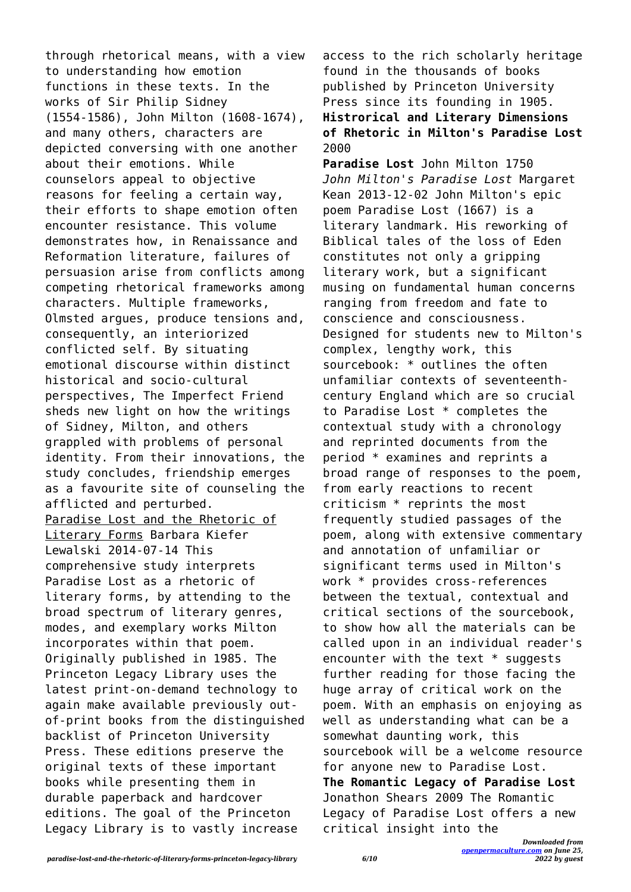through rhetorical means, with a view to understanding how emotion functions in these texts. In the works of Sir Philip Sidney (1554-1586), John Milton (1608-1674), and many others, characters are depicted conversing with one another about their emotions. While counselors appeal to objective reasons for feeling a certain way, their efforts to shape emotion often encounter resistance. This volume demonstrates how, in Renaissance and Reformation literature, failures of persuasion arise from conflicts among competing rhetorical frameworks among characters. Multiple frameworks, Olmsted argues, produce tensions and, consequently, an interiorized conflicted self. By situating emotional discourse within distinct historical and socio-cultural perspectives, The Imperfect Friend sheds new light on how the writings of Sidney, Milton, and others grappled with problems of personal identity. From their innovations, the study concludes, friendship emerges as a favourite site of counseling the afflicted and perturbed. Paradise Lost and the Rhetoric of Literary Forms Barbara Kiefer Lewalski 2014-07-14 This comprehensive study interprets Paradise Lost as a rhetoric of literary forms, by attending to the broad spectrum of literary genres, modes, and exemplary works Milton incorporates within that poem. Originally published in 1985. The Princeton Legacy Library uses the latest print-on-demand technology to again make available previously outof-print books from the distinguished backlist of Princeton University Press. These editions preserve the original texts of these important books while presenting them in durable paperback and hardcover editions. The goal of the Princeton Legacy Library is to vastly increase

access to the rich scholarly heritage found in the thousands of books published by Princeton University Press since its founding in 1905. **Histrorical and Literary Dimensions of Rhetoric in Milton's Paradise Lost** 2000

**Paradise Lost** John Milton 1750 *John Milton's Paradise Lost* Margaret Kean 2013-12-02 John Milton's epic poem Paradise Lost (1667) is a literary landmark. His reworking of Biblical tales of the loss of Eden constitutes not only a gripping literary work, but a significant musing on fundamental human concerns ranging from freedom and fate to conscience and consciousness. Designed for students new to Milton's complex, lengthy work, this sourcebook: \* outlines the often unfamiliar contexts of seventeenthcentury England which are so crucial to Paradise Lost \* completes the contextual study with a chronology and reprinted documents from the period \* examines and reprints a broad range of responses to the poem, from early reactions to recent criticism \* reprints the most frequently studied passages of the poem, along with extensive commentary and annotation of unfamiliar or significant terms used in Milton's work \* provides cross-references between the textual, contextual and critical sections of the sourcebook, to show how all the materials can be called upon in an individual reader's encounter with the text  $*$  suggests further reading for those facing the huge array of critical work on the poem. With an emphasis on enjoying as well as understanding what can be a somewhat daunting work, this sourcebook will be a welcome resource for anyone new to Paradise Lost. **The Romantic Legacy of Paradise Lost** Jonathon Shears 2009 The Romantic Legacy of Paradise Lost offers a new critical insight into the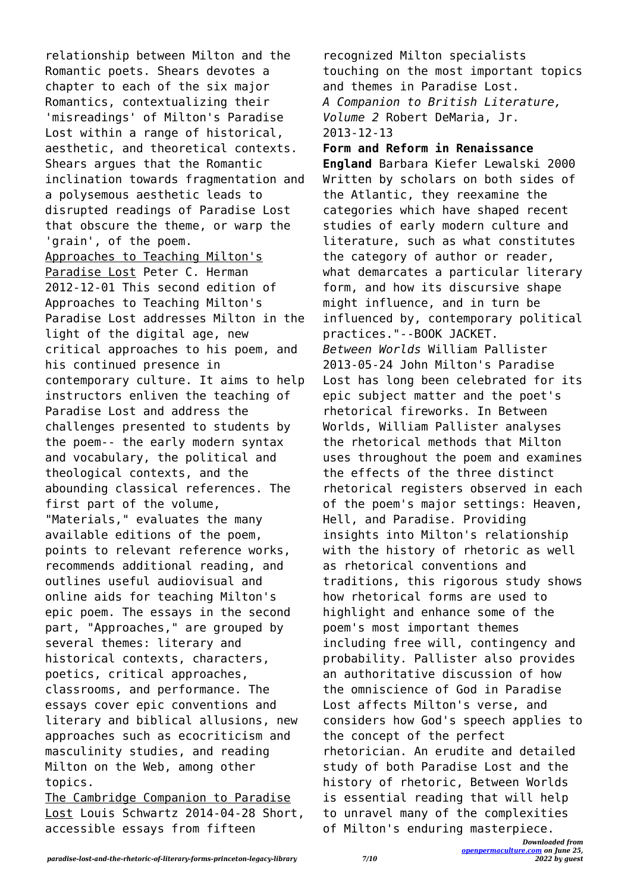relationship between Milton and the Romantic poets. Shears devotes a chapter to each of the six major Romantics, contextualizing their 'misreadings' of Milton's Paradise Lost within a range of historical, aesthetic, and theoretical contexts. Shears argues that the Romantic inclination towards fragmentation and a polysemous aesthetic leads to disrupted readings of Paradise Lost that obscure the theme, or warp the 'grain', of the poem. Approaches to Teaching Milton's Paradise Lost Peter C. Herman 2012-12-01 This second edition of Approaches to Teaching Milton's Paradise Lost addresses Milton in the light of the digital age, new critical approaches to his poem, and his continued presence in contemporary culture. It aims to help instructors enliven the teaching of Paradise Lost and address the challenges presented to students by the poem-- the early modern syntax and vocabulary, the political and theological contexts, and the abounding classical references. The first part of the volume, "Materials," evaluates the many available editions of the poem, points to relevant reference works, recommends additional reading, and outlines useful audiovisual and online aids for teaching Milton's epic poem. The essays in the second part, "Approaches," are grouped by several themes: literary and historical contexts, characters, poetics, critical approaches, classrooms, and performance. The essays cover epic conventions and literary and biblical allusions, new approaches such as ecocriticism and masculinity studies, and reading Milton on the Web, among other topics.

The Cambridge Companion to Paradise Lost Louis Schwartz 2014-04-28 Short, accessible essays from fifteen

recognized Milton specialists touching on the most important topics and themes in Paradise Lost. *A Companion to British Literature, Volume 2* Robert DeMaria, Jr. 2013-12-13

*Downloaded from* **Form and Reform in Renaissance England** Barbara Kiefer Lewalski 2000 Written by scholars on both sides of the Atlantic, they reexamine the categories which have shaped recent studies of early modern culture and literature, such as what constitutes the category of author or reader, what demarcates a particular literary form, and how its discursive shape might influence, and in turn be influenced by, contemporary political practices."--BOOK JACKET. *Between Worlds* William Pallister 2013-05-24 John Milton's Paradise Lost has long been celebrated for its epic subject matter and the poet's rhetorical fireworks. In Between Worlds, William Pallister analyses the rhetorical methods that Milton uses throughout the poem and examines the effects of the three distinct rhetorical registers observed in each of the poem's major settings: Heaven, Hell, and Paradise. Providing insights into Milton's relationship with the history of rhetoric as well as rhetorical conventions and traditions, this rigorous study shows how rhetorical forms are used to highlight and enhance some of the poem's most important themes including free will, contingency and probability. Pallister also provides an authoritative discussion of how the omniscience of God in Paradise Lost affects Milton's verse, and considers how God's speech applies to the concept of the perfect rhetorician. An erudite and detailed study of both Paradise Lost and the history of rhetoric, Between Worlds is essential reading that will help to unravel many of the complexities of Milton's enduring masterpiece.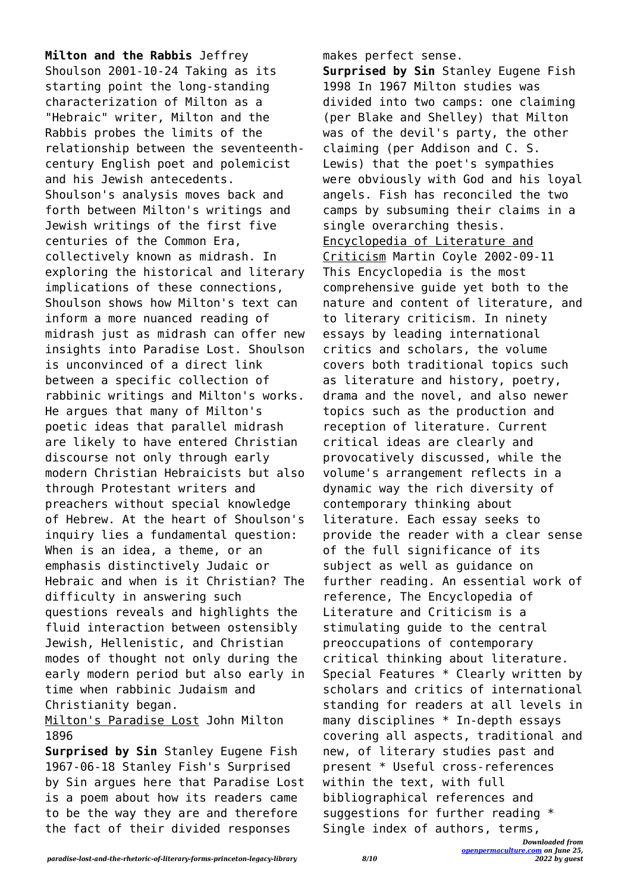**Milton and the Rabbis** Jeffrey Shoulson 2001-10-24 Taking as its starting point the long-standing characterization of Milton as a "Hebraic" writer, Milton and the Rabbis probes the limits of the relationship between the seventeenthcentury English poet and polemicist and his Jewish antecedents. Shoulson's analysis moves back and forth between Milton's writings and Jewish writings of the first five centuries of the Common Era, collectively known as midrash. In exploring the historical and literary implications of these connections, Shoulson shows how Milton's text can inform a more nuanced reading of midrash just as midrash can offer new insights into Paradise Lost. Shoulson is unconvinced of a direct link between a specific collection of rabbinic writings and Milton's works. He argues that many of Milton's poetic ideas that parallel midrash are likely to have entered Christian discourse not only through early modern Christian Hebraicists but also through Protestant writers and preachers without special knowledge of Hebrew. At the heart of Shoulson's inquiry lies a fundamental question: When is an idea, a theme, or an emphasis distinctively Judaic or Hebraic and when is it Christian? The difficulty in answering such questions reveals and highlights the fluid interaction between ostensibly Jewish, Hellenistic, and Christian modes of thought not only during the early modern period but also early in time when rabbinic Judaism and Christianity began. Milton's Paradise Lost John Milton

## 1896

**Surprised by Sin** Stanley Eugene Fish 1967-06-18 Stanley Fish's Surprised by Sin argues here that Paradise Lost is a poem about how its readers came to be the way they are and therefore the fact of their divided responses

makes perfect sense.

**Surprised by Sin** Stanley Eugene Fish 1998 In 1967 Milton studies was divided into two camps: one claiming (per Blake and Shelley) that Milton was of the devil's party, the other claiming (per Addison and C. S. Lewis) that the poet's sympathies were obviously with God and his loyal angels. Fish has reconciled the two camps by subsuming their claims in a single overarching thesis. Encyclopedia of Literature and Criticism Martin Coyle 2002-09-11 This Encyclopedia is the most comprehensive guide yet both to the nature and content of literature, and to literary criticism. In ninety essays by leading international critics and scholars, the volume covers both traditional topics such as literature and history, poetry, drama and the novel, and also newer topics such as the production and reception of literature. Current critical ideas are clearly and provocatively discussed, while the volume's arrangement reflects in a dynamic way the rich diversity of contemporary thinking about literature. Each essay seeks to provide the reader with a clear sense of the full significance of its subject as well as guidance on further reading. An essential work of reference, The Encyclopedia of Literature and Criticism is a stimulating guide to the central preoccupations of contemporary critical thinking about literature. Special Features \* Clearly written by scholars and critics of international standing for readers at all levels in many disciplines \* In-depth essays covering all aspects, traditional and new, of literary studies past and present \* Useful cross-references within the text, with full bibliographical references and suggestions for further reading \* Single index of authors, terms,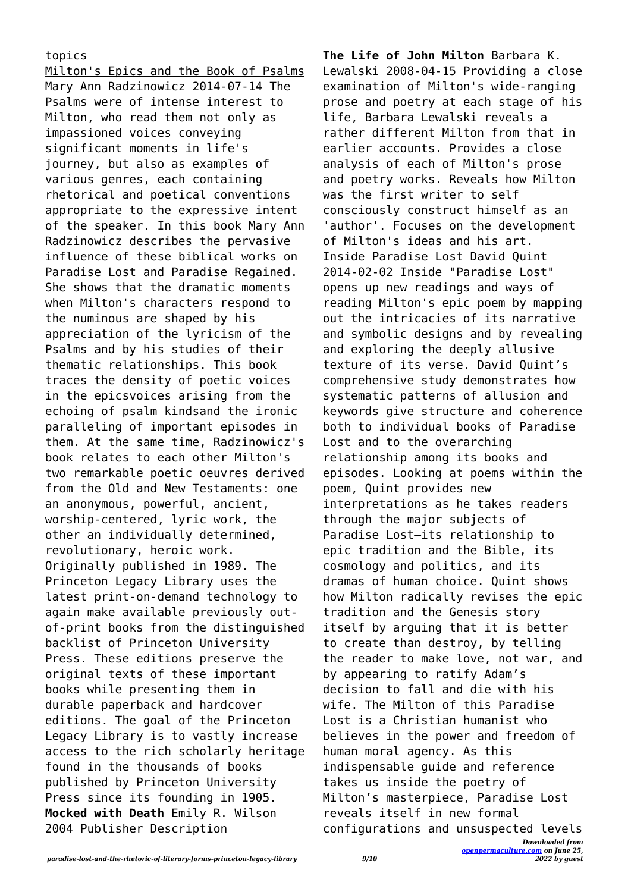## topics

Milton's Epics and the Book of Psalms Mary Ann Radzinowicz 2014-07-14 The Psalms were of intense interest to Milton, who read them not only as impassioned voices conveying significant moments in life's journey, but also as examples of various genres, each containing rhetorical and poetical conventions appropriate to the expressive intent of the speaker. In this book Mary Ann Radzinowicz describes the pervasive influence of these biblical works on Paradise Lost and Paradise Regained. She shows that the dramatic moments when Milton's characters respond to the numinous are shaped by his appreciation of the lyricism of the Psalms and by his studies of their thematic relationships. This book traces the density of poetic voices in the epicsvoices arising from the echoing of psalm kindsand the ironic paralleling of important episodes in them. At the same time, Radzinowicz's book relates to each other Milton's two remarkable poetic oeuvres derived from the Old and New Testaments: one an anonymous, powerful, ancient, worship-centered, lyric work, the other an individually determined, revolutionary, heroic work. Originally published in 1989. The Princeton Legacy Library uses the latest print-on-demand technology to again make available previously outof-print books from the distinguished backlist of Princeton University Press. These editions preserve the original texts of these important books while presenting them in durable paperback and hardcover editions. The goal of the Princeton Legacy Library is to vastly increase access to the rich scholarly heritage found in the thousands of books published by Princeton University Press since its founding in 1905. **Mocked with Death** Emily R. Wilson 2004 Publisher Description

**The Life of John Milton** Barbara K. Lewalski 2008-04-15 Providing a close examination of Milton's wide-ranging prose and poetry at each stage of his life, Barbara Lewalski reveals a rather different Milton from that in earlier accounts. Provides a close analysis of each of Milton's prose and poetry works. Reveals how Milton was the first writer to self consciously construct himself as an 'author'. Focuses on the development of Milton's ideas and his art. Inside Paradise Lost David Quint 2014-02-02 Inside "Paradise Lost" opens up new readings and ways of reading Milton's epic poem by mapping out the intricacies of its narrative and symbolic designs and by revealing and exploring the deeply allusive texture of its verse. David Quint's comprehensive study demonstrates how systematic patterns of allusion and keywords give structure and coherence both to individual books of Paradise Lost and to the overarching relationship among its books and episodes. Looking at poems within the poem, Quint provides new interpretations as he takes readers through the major subjects of Paradise Lost—its relationship to epic tradition and the Bible, its cosmology and politics, and its dramas of human choice. Quint shows how Milton radically revises the epic tradition and the Genesis story itself by arguing that it is better to create than destroy, by telling the reader to make love, not war, and by appearing to ratify Adam's decision to fall and die with his wife. The Milton of this Paradise Lost is a Christian humanist who believes in the power and freedom of human moral agency. As this indispensable guide and reference takes us inside the poetry of Milton's masterpiece, Paradise Lost reveals itself in new formal configurations and unsuspected levels